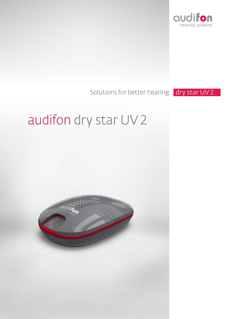

# Solutions for better hearing **dry star UV 2**

# audifon dry star UV 2